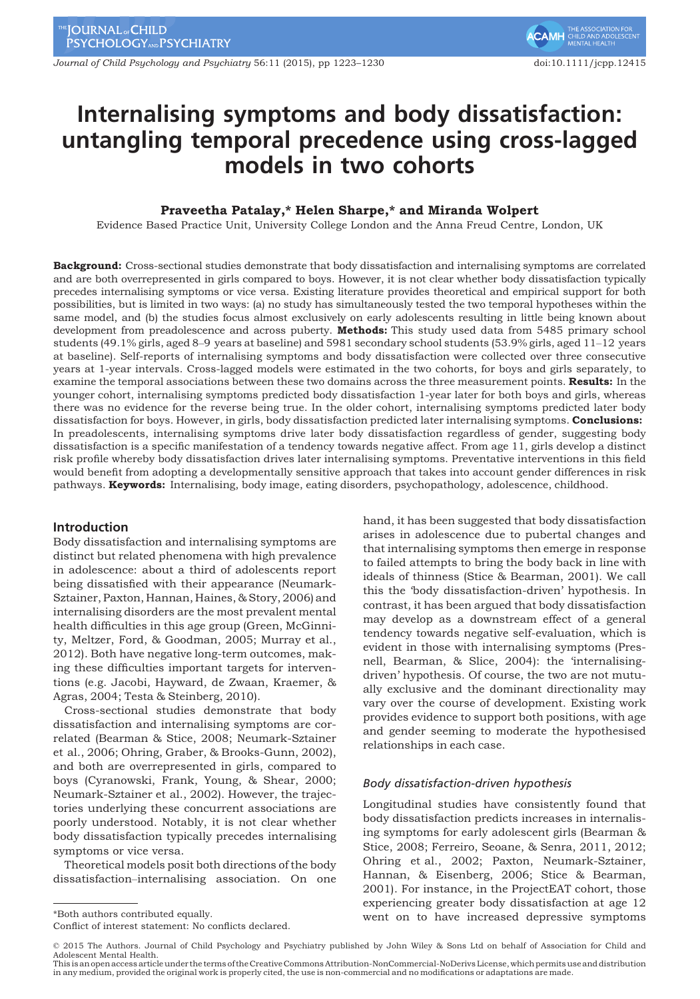Journal of Child Psychology and Psychiatry 56:11 (2015), pp 1223-1230 doi:10.1111/jcpp.12415

# Internalising symptoms and body dissatisfaction: untangling temporal precedence using cross-lagged models in two cohorts

## Praveetha Patalay,\* Helen Sharpe,\* and Miranda Wolpert

Evidence Based Practice Unit, University College London and the Anna Freud Centre, London, UK

Background: Cross-sectional studies demonstrate that body dissatisfaction and internalising symptoms are correlated and are both overrepresented in girls compared to boys. However, it is not clear whether body dissatisfaction typically precedes internalising symptoms or vice versa. Existing literature provides theoretical and empirical support for both possibilities, but is limited in two ways: (a) no study has simultaneously tested the two temporal hypotheses within the same model, and (b) the studies focus almost exclusively on early adolescents resulting in little being known about development from preadolescence and across puberty. Methods: This study used data from 5485 primary school students (49.1% girls, aged 8–9 years at baseline) and 5981 secondary school students (53.9% girls, aged 11–12 years at baseline). Self-reports of internalising symptoms and body dissatisfaction were collected over three consecutive years at 1-year intervals. Cross-lagged models were estimated in the two cohorts, for boys and girls separately, to examine the temporal associations between these two domains across the three measurement points. Results: In the younger cohort, internalising symptoms predicted body dissatisfaction 1-year later for both boys and girls, whereas there was no evidence for the reverse being true. In the older cohort, internalising symptoms predicted later body dissatisfaction for boys. However, in girls, body dissatisfaction predicted later internalising symptoms. Conclusions: In preadolescents, internalising symptoms drive later body dissatisfaction regardless of gender, suggesting body dissatisfaction is a specific manifestation of a tendency towards negative affect. From age 11, girls develop a distinct risk profile whereby body dissatisfaction drives later internalising symptoms. Preventative interventions in this field would benefit from adopting a developmentally sensitive approach that takes into account gender differences in risk pathways. Keywords: Internalising, body image, eating disorders, psychopathology, adolescence, childhood.

# Introduction

Body dissatisfaction and internalising symptoms are distinct but related phenomena with high prevalence in adolescence: about a third of adolescents report being dissatisfied with their appearance (Neumark-Sztainer, Paxton, Hannan, Haines, & Story, 2006) and internalising disorders are the most prevalent mental health difficulties in this age group (Green, McGinnity, Meltzer, Ford, & Goodman, 2005; Murray et al., 2012). Both have negative long-term outcomes, making these difficulties important targets for interventions (e.g. Jacobi, Hayward, de Zwaan, Kraemer, & Agras, 2004; Testa & Steinberg, 2010).

Cross-sectional studies demonstrate that body dissatisfaction and internalising symptoms are correlated (Bearman & Stice, 2008; Neumark-Sztainer et al., 2006; Ohring, Graber, & Brooks-Gunn, 2002), and both are overrepresented in girls, compared to boys (Cyranowski, Frank, Young, & Shear, 2000; Neumark-Sztainer et al., 2002). However, the trajectories underlying these concurrent associations are poorly understood. Notably, it is not clear whether body dissatisfaction typically precedes internalising symptoms or vice versa.

Theoretical models posit both directions of the body dissatisfaction–internalising association. On one

Conflict of interest statement: No conflicts declared.

hand, it has been suggested that body dissatisfaction arises in adolescence due to pubertal changes and that internalising symptoms then emerge in response to failed attempts to bring the body back in line with ideals of thinness (Stice & Bearman, 2001). We call this the 'body dissatisfaction-driven' hypothesis. In contrast, it has been argued that body dissatisfaction may develop as a downstream effect of a general tendency towards negative self-evaluation, which is evident in those with internalising symptoms (Presnell, Bearman, & Slice, 2004): the 'internalisingdriven' hypothesis. Of course, the two are not mutually exclusive and the dominant directionality may vary over the course of development. Existing work provides evidence to support both positions, with age and gender seeming to moderate the hypothesised relationships in each case.

### Body dissatisfaction-driven hypothesis

Longitudinal studies have consistently found that body dissatisfaction predicts increases in internalising symptoms for early adolescent girls (Bearman & Stice, 2008; Ferreiro, Seoane, & Senra, 2011, 2012; Ohring et al., 2002; Paxton, Neumark-Sztainer, Hannan, & Eisenberg, 2006; Stice & Bearman, 2001). For instance, in the ProjectEAT cohort, those experiencing greater body dissatisfaction at age 12 went on to have increased depressive symptoms \*Both authors contributed equally.

© 2015 The Authors. Journal of Child Psychology and Psychiatry published by John Wiley & Sons Ltd on behalf of Association for Child and Adolescent Mental Health. This is an open access article under the terms of the [Creative Commons Attribution-NonCommercial-NoDerivs](https://www.gov.uk/government/publications/schools-pupils-and-their-characteristics-january-2010) License, which permits use and distribution

in any medium, provided the original work is properly cited, the use is non-commercial and no modifications or adaptations are made.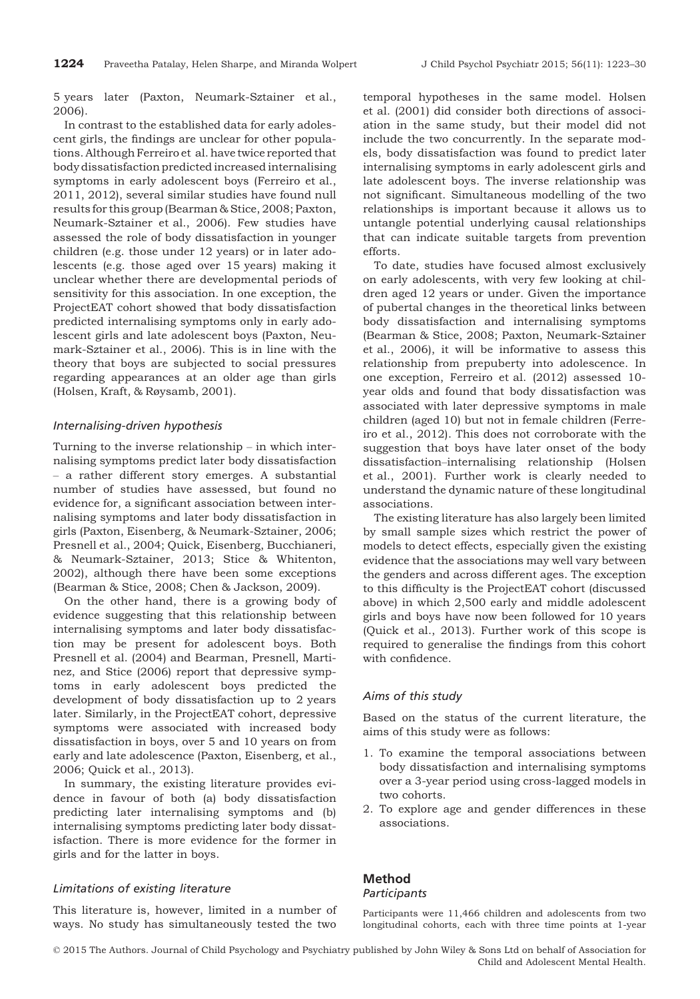5 years later (Paxton, Neumark-Sztainer et al., 2006).

In contrast to the established data for early adolescent girls, the findings are unclear for other populations. Although Ferreiro et al. have twice reported that body dissatisfaction predicted increased internalising symptoms in early adolescent boys (Ferreiro et al., 2011, 2012), several similar studies have found null results for this group (Bearman & Stice, 2008; Paxton, Neumark-Sztainer et al., 2006). Few studies have assessed the role of body dissatisfaction in younger children (e.g. those under 12 years) or in later adolescents (e.g. those aged over 15 years) making it unclear whether there are developmental periods of sensitivity for this association. In one exception, the ProjectEAT cohort showed that body dissatisfaction predicted internalising symptoms only in early adolescent girls and late adolescent boys (Paxton, Neumark-Sztainer et al., 2006). This is in line with the theory that boys are subjected to social pressures regarding appearances at an older age than girls (Holsen, Kraft, & Røysamb, 2001).

## Internalising-driven hypothesis

Turning to the inverse relationship – in which internalising symptoms predict later body dissatisfaction – a rather different story emerges. A substantial number of studies have assessed, but found no evidence for, a significant association between internalising symptoms and later body dissatisfaction in girls (Paxton, Eisenberg, & Neumark-Sztainer, 2006; Presnell et al., 2004; Quick, Eisenberg, Bucchianeri, & Neumark-Sztainer, 2013; Stice & Whitenton, 2002), although there have been some exceptions (Bearman & Stice, 2008; Chen & Jackson, 2009).

On the other hand, there is a growing body of evidence suggesting that this relationship between internalising symptoms and later body dissatisfaction may be present for adolescent boys. Both Presnell et al. (2004) and Bearman, Presnell, Martinez, and Stice (2006) report that depressive symptoms in early adolescent boys predicted the development of body dissatisfaction up to 2 years later. Similarly, in the ProjectEAT cohort, depressive symptoms were associated with increased body dissatisfaction in boys, over 5 and 10 years on from early and late adolescence (Paxton, Eisenberg, et al., 2006; Quick et al., 2013).

In summary, the existing literature provides evidence in favour of both (a) body dissatisfaction predicting later internalising symptoms and (b) internalising symptoms predicting later body dissatisfaction. There is more evidence for the former in girls and for the latter in boys.

# Limitations of existing literature

This literature is, however, limited in a number of ways. No study has simultaneously tested the two

temporal hypotheses in the same model. Holsen et al. (2001) did consider both directions of association in the same study, but their model did not include the two concurrently. In the separate models, body dissatisfaction was found to predict later internalising symptoms in early adolescent girls and late adolescent boys. The inverse relationship was not significant. Simultaneous modelling of the two relationships is important because it allows us to untangle potential underlying causal relationships that can indicate suitable targets from prevention efforts.

To date, studies have focused almost exclusively on early adolescents, with very few looking at children aged 12 years or under. Given the importance of pubertal changes in the theoretical links between body dissatisfaction and internalising symptoms (Bearman & Stice, 2008; Paxton, Neumark-Sztainer et al., 2006), it will be informative to assess this relationship from prepuberty into adolescence. In one exception, Ferreiro et al. (2012) assessed 10 year olds and found that body dissatisfaction was associated with later depressive symptoms in male children (aged 10) but not in female children (Ferreiro et al., 2012). This does not corroborate with the suggestion that boys have later onset of the body dissatisfaction–internalising relationship (Holsen et al., 2001). Further work is clearly needed to understand the dynamic nature of these longitudinal associations.

The existing literature has also largely been limited by small sample sizes which restrict the power of models to detect effects, especially given the existing evidence that the associations may well vary between the genders and across different ages. The exception to this difficulty is the ProjectEAT cohort (discussed above) in which 2,500 early and middle adolescent girls and boys have now been followed for 10 years (Quick et al., 2013). Further work of this scope is required to generalise the findings from this cohort with confidence.

## Aims of this study

Based on the status of the current literature, the aims of this study were as follows:

- 1. To examine the temporal associations between body dissatisfaction and internalising symptoms over a 3-year period using cross-lagged models in two cohorts.
- 2. To explore age and gender differences in these associations.

## Method **Participants**

Participants were 11,466 children and adolescents from two longitudinal cohorts, each with three time points at 1-year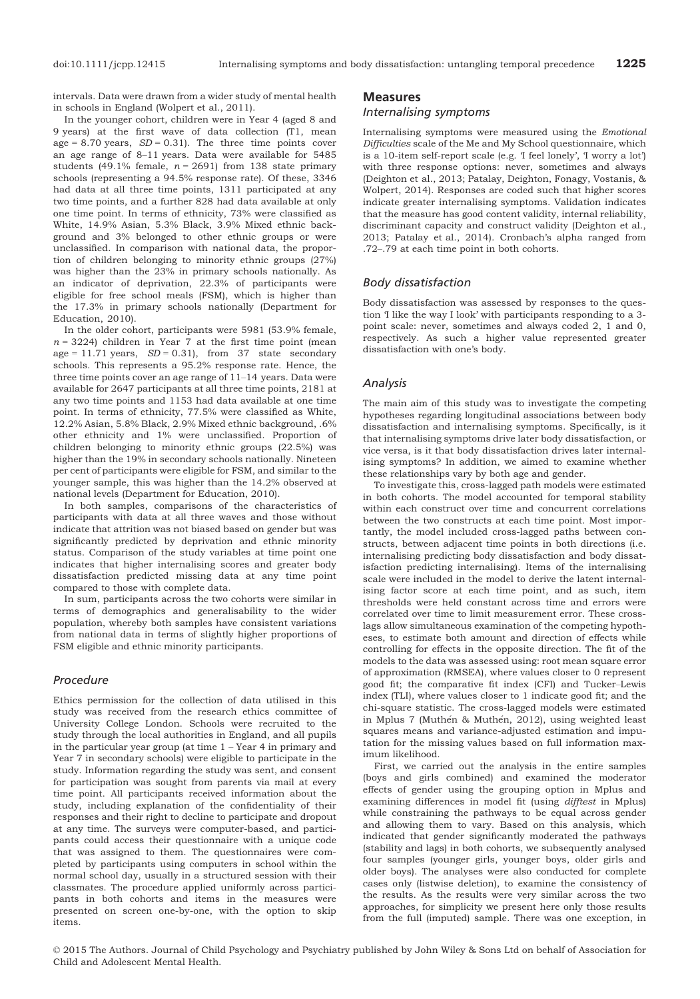intervals. Data were drawn from a wider study of mental health in schools in England (Wolpert et al., 2011).

In the younger cohort, children were in Year 4 (aged 8 and 9 years) at the first wave of data collection (T1, mean age = 8.70 years,  $SD = 0.31$ ). The three time points cover an age range of 8–11 years. Data were available for 5485 students (49.1% female,  $n = 2691$ ) from 138 state primary schools (representing a 94.5% response rate). Of these, 3346 had data at all three time points, 1311 participated at any two time points, and a further 828 had data available at only one time point. In terms of ethnicity, 73% were classified as White, 14.9% Asian, 5.3% Black, 3.9% Mixed ethnic background and 3% belonged to other ethnic groups or were unclassified. In comparison with national data, the proportion of children belonging to minority ethnic groups (27%) was higher than the 23% in primary schools nationally. As an indicator of deprivation, 22.3% of participants were eligible for free school meals (FSM), which is higher than the 17.3% in primary schools nationally (Department for Education, 2010).

In the older cohort, participants were 5981 (53.9% female,  $n = 3224$ ) children in Year 7 at the first time point (mean age = 11.71 years,  $SD = 0.31$ , from 37 state secondary schools. This represents a 95.2% response rate. Hence, the three time points cover an age range of 11–14 years. Data were available for 2647 participants at all three time points, 2181 at any two time points and 1153 had data available at one time point. In terms of ethnicity, 77.5% were classified as White, 12.2% Asian, 5.8% Black, 2.9% Mixed ethnic background, .6% other ethnicity and 1% were unclassified. Proportion of children belonging to minority ethnic groups (22.5%) was higher than the 19% in secondary schools nationally. Nineteen per cent of participants were eligible for FSM, and similar to the younger sample, this was higher than the 14.2% observed at national levels (Department for Education, 2010).

In both samples, comparisons of the characteristics of participants with data at all three waves and those without indicate that attrition was not biased based on gender but was significantly predicted by deprivation and ethnic minority status. Comparison of the study variables at time point one indicates that higher internalising scores and greater body dissatisfaction predicted missing data at any time point compared to those with complete data.

In sum, participants across the two cohorts were similar in terms of demographics and generalisability to the wider population, whereby both samples have consistent variations from national data in terms of slightly higher proportions of FSM eligible and ethnic minority participants.

## Procedure

Ethics permission for the collection of data utilised in this study was received from the research ethics committee of University College London. Schools were recruited to the study through the local authorities in England, and all pupils in the particular year group (at time 1 – Year 4 in primary and Year 7 in secondary schools) were eligible to participate in the study. Information regarding the study was sent, and consent for participation was sought from parents via mail at every time point. All participants received information about the study, including explanation of the confidentiality of their responses and their right to decline to participate and dropout at any time. The surveys were computer-based, and participants could access their questionnaire with a unique code that was assigned to them. The questionnaires were completed by participants using computers in school within the normal school day, usually in a structured session with their classmates. The procedure applied uniformly across participants in both cohorts and items in the measures were presented on screen one-by-one, with the option to skip items.

## Measures

#### Internalising symptoms

Internalising symptoms were measured using the Emotional Difficulties scale of the Me and My School questionnaire, which is a 10-item self-report scale (e.g. 'I feel lonely', 'I worry a lot') with three response options: never, sometimes and always (Deighton et al., 2013; Patalay, Deighton, Fonagy, Vostanis, & Wolpert, 2014). Responses are coded such that higher scores indicate greater internalising symptoms. Validation indicates that the measure has good content validity, internal reliability, discriminant capacity and construct validity (Deighton et al., 2013; Patalay et al., 2014). Cronbach's alpha ranged from .72–.79 at each time point in both cohorts.

#### Body dissatisfaction

Body dissatisfaction was assessed by responses to the question 'I like the way I look' with participants responding to a 3 point scale: never, sometimes and always coded 2, 1 and 0, respectively. As such a higher value represented greater dissatisfaction with one's body.

## Analysis

The main aim of this study was to investigate the competing hypotheses regarding longitudinal associations between body dissatisfaction and internalising symptoms. Specifically, is it that internalising symptoms drive later body dissatisfaction, or vice versa, is it that body dissatisfaction drives later internalising symptoms? In addition, we aimed to examine whether these relationships vary by both age and gender.

To investigate this, cross-lagged path models were estimated in both cohorts. The model accounted for temporal stability within each construct over time and concurrent correlations between the two constructs at each time point. Most importantly, the model included cross-lagged paths between constructs, between adjacent time points in both directions (i.e. internalising predicting body dissatisfaction and body dissatisfaction predicting internalising). Items of the internalising scale were included in the model to derive the latent internalising factor score at each time point, and as such, item thresholds were held constant across time and errors were correlated over time to limit measurement error. These crosslags allow simultaneous examination of the competing hypotheses, to estimate both amount and direction of effects while controlling for effects in the opposite direction. The fit of the models to the data was assessed using: root mean square error of approximation (RMSEA), where values closer to 0 represent good fit; the comparative fit index (CFI) and Tucker–Lewis index (TLI), where values closer to 1 indicate good fit; and the chi-square statistic. The cross-lagged models were estimated in Mplus 7 (Muthén & Muthén, 2012), using weighted least squares means and variance-adjusted estimation and imputation for the missing values based on full information maximum likelihood.

First, we carried out the analysis in the entire samples (boys and girls combined) and examined the moderator effects of gender using the grouping option in Mplus and examining differences in model fit (using *difftest* in Mplus) while constraining the pathways to be equal across gender and allowing them to vary. Based on this analysis, which indicated that gender significantly moderated the pathways (stability and lags) in both cohorts, we subsequently analysed four samples (younger girls, younger boys, older girls and older boys). The analyses were also conducted for complete cases only (listwise deletion), to examine the consistency of the results. As the results were very similar across the two approaches, for simplicity we present here only those results from the full (imputed) sample. There was one exception, in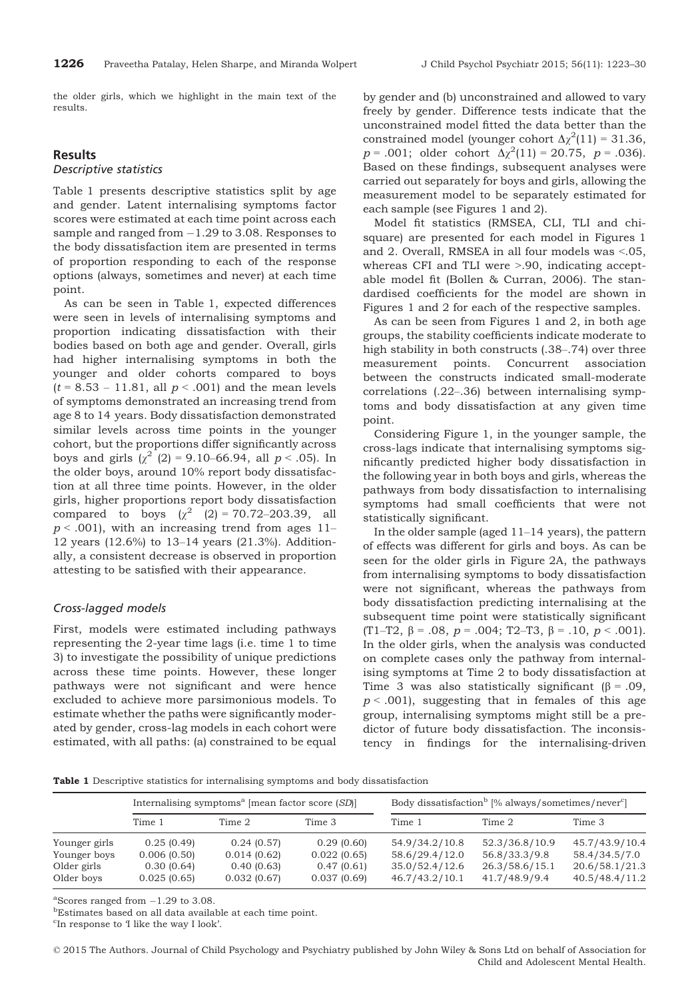the older girls, which we highlight in the main text of the results.

# Results

# Descriptive statistics

Table 1 presents descriptive statistics split by age and gender. Latent internalising symptoms factor scores were estimated at each time point across each sample and ranged from  $-1.29$  to 3.08. Responses to the body dissatisfaction item are presented in terms of proportion responding to each of the response options (always, sometimes and never) at each time point.

As can be seen in Table 1, expected differences were seen in levels of internalising symptoms and proportion indicating dissatisfaction with their bodies based on both age and gender. Overall, girls had higher internalising symptoms in both the younger and older cohorts compared to boys  $(t = 8.53 - 11.81,$  all  $p < .001$  and the mean levels of symptoms demonstrated an increasing trend from age 8 to 14 years. Body dissatisfaction demonstrated similar levels across time points in the younger cohort, but the proportions differ significantly across boys and girls  $(\chi^2 \ (2) = 9.10-66.94, \text{ all } p < .05)$ . In the older boys, around 10% report body dissatisfaction at all three time points. However, in the older girls, higher proportions report body dissatisfaction compared to boys  $(\chi^2 \quad (2) = 70.72{\text -}203.39, \text{ all})$  $p < .001$ , with an increasing trend from ages 11– 12 years (12.6%) to 13–14 years (21.3%). Additionally, a consistent decrease is observed in proportion attesting to be satisfied with their appearance.

# Cross-lagged models

First, models were estimated including pathways representing the 2-year time lags (i.e. time 1 to time 3) to investigate the possibility of unique predictions across these time points. However, these longer pathways were not significant and were hence excluded to achieve more parsimonious models. To estimate whether the paths were significantly moderated by gender, cross-lag models in each cohort were estimated, with all paths: (a) constrained to be equal

by gender and (b) unconstrained and allowed to vary freely by gender. Difference tests indicate that the unconstrained model fitted the data better than the constrained model (younger cohort  $\Delta \chi^2(11) = 31.36$ ,  $p = .001$ ; older cohort  $\Delta \chi^2(11) = 20.75$ ,  $p = .036$ ). Based on these findings, subsequent analyses were carried out separately for boys and girls, allowing the measurement model to be separately estimated for each sample (see Figures 1 and 2).

Model fit statistics (RMSEA, CLI, TLI and chisquare) are presented for each model in Figures 1 and 2. Overall, RMSEA in all four models was <.05, whereas CFI and TLI were >.90, indicating acceptable model fit (Bollen & Curran, 2006). The standardised coefficients for the model are shown in Figures 1 and 2 for each of the respective samples.

As can be seen from Figures 1 and 2, in both age groups, the stability coefficients indicate moderate to high stability in both constructs (.38–.74) over three measurement points. Concurrent association between the constructs indicated small-moderate correlations (.22–.36) between internalising symptoms and body dissatisfaction at any given time point.

Considering Figure 1, in the younger sample, the cross-lags indicate that internalising symptoms significantly predicted higher body dissatisfaction in the following year in both boys and girls, whereas the pathways from body dissatisfaction to internalising symptoms had small coefficients that were not statistically significant.

In the older sample (aged 11–14 years), the pattern of effects was different for girls and boys. As can be seen for the older girls in Figure 2A, the pathways from internalising symptoms to body dissatisfaction were not significant, whereas the pathways from body dissatisfaction predicting internalising at the subsequent time point were statistically significant (T1–T2,  $\beta$  = .08,  $p$  = .004; T2–T3,  $\beta$  = .10,  $p$  < .001). In the older girls, when the analysis was conducted on complete cases only the pathway from internalising symptoms at Time 2 to body dissatisfaction at Time 3 was also statistically significant ( $\beta = .09$ ,  $p < .001$ , suggesting that in females of this age group, internalising symptoms might still be a predictor of future body dissatisfaction. The inconsistency in findings for the internalising-driven

Table 1 Descriptive statistics for internalising symptoms and body dissatisfaction

|                           | Internalising symptoms <sup>a</sup> [mean factor score $(SD)$ ] |                           |                           | Body dissatisfaction <sup>b</sup> [% always/sometimes/never <sup>c</sup> ] |                                 |                                  |
|---------------------------|-----------------------------------------------------------------|---------------------------|---------------------------|----------------------------------------------------------------------------|---------------------------------|----------------------------------|
|                           | Time 1                                                          | Time 2                    | Time 3                    | Time 1                                                                     | Time 2                          | Time 3                           |
| Younger girls             | 0.25(0.49)                                                      | 0.24(0.57)                | 0.29(0.60)                | 54.9/34.2/10.8                                                             | 52.3/36.8/10.9                  | 45.7/43.9/10.4                   |
| Younger boys              | 0.006(0.50)                                                     | 0.014(0.62)               | 0.022(0.65)               | 58.6/29.4/12.0                                                             | 56.8/33.3/9.8                   | 58.4/34.5/7.0                    |
| Older girls<br>Older boys | 0.30(0.64)<br>0.025(0.65)                                       | 0.40(0.63)<br>0.032(0.67) | 0.47(0.61)<br>0.037(0.69) | 35.0/52.4/12.6<br>46.7/43.2/10.1                                           | 26.3/58.6/15.1<br>41.7/48.9/9.4 | 20.6/58.1/21.3<br>40.5/48.4/11.2 |

 $\mathrm{^{a}S}$ cores ranged from  $-1.29$  to 3.08.<br>  $\mathrm{^{b}F}$ stimates based on all data availa

**Estimates based on all data available at each time point.** 

c In response to 'I like the way I look'.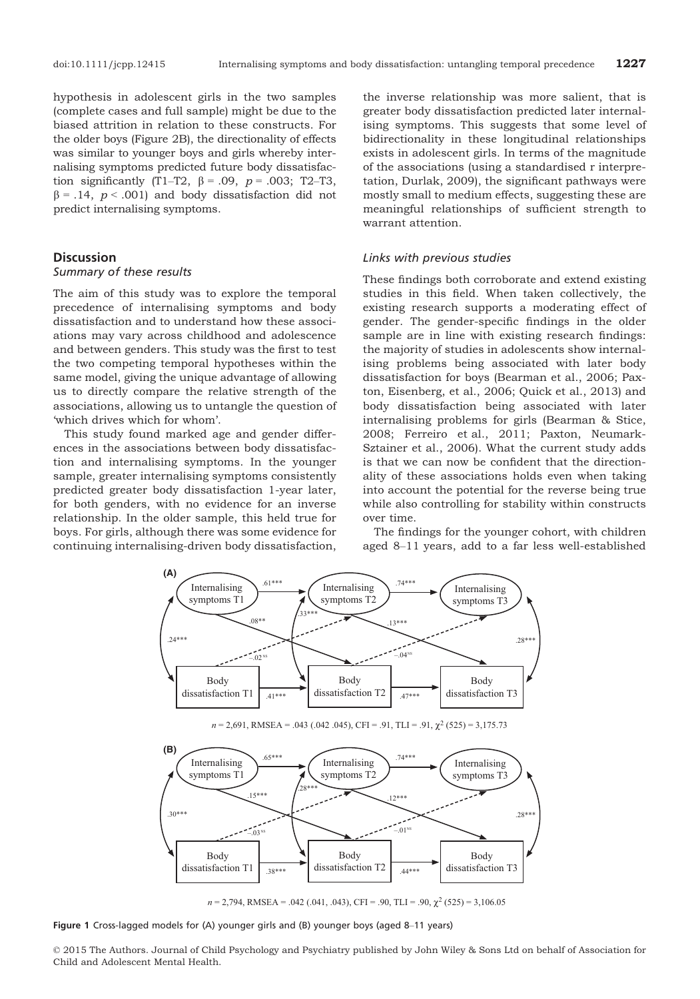hypothesis in adolescent girls in the two samples (complete cases and full sample) might be due to the biased attrition in relation to these constructs. For the older boys (Figure 2B), the directionality of effects was similar to younger boys and girls whereby internalising symptoms predicted future body dissatisfaction significantly (T1–T2,  $\beta = .09$ ,  $p = .003$ ; T2–T3,  $\beta = .14$ ,  $p < .001$ ) and body dissatisfaction did not predict internalising symptoms.

# **Discussion**

## Summary of these results

The aim of this study was to explore the temporal precedence of internalising symptoms and body dissatisfaction and to understand how these associations may vary across childhood and adolescence and between genders. This study was the first to test the two competing temporal hypotheses within the same model, giving the unique advantage of allowing us to directly compare the relative strength of the associations, allowing us to untangle the question of 'which drives which for whom'.

This study found marked age and gender differences in the associations between body dissatisfaction and internalising symptoms. In the younger sample, greater internalising symptoms consistently predicted greater body dissatisfaction 1-year later, for both genders, with no evidence for an inverse relationship. In the older sample, this held true for boys. For girls, although there was some evidence for continuing internalising-driven body dissatisfaction,

**(A)**

the inverse relationship was more salient, that is greater body dissatisfaction predicted later internalising symptoms. This suggests that some level of bidirectionality in these longitudinal relationships exists in adolescent girls. In terms of the magnitude of the associations (using a standardised r interpretation, Durlak, 2009), the significant pathways were mostly small to medium effects, suggesting these are meaningful relationships of sufficient strength to warrant attention.

## Links with previous studies

These findings both corroborate and extend existing studies in this field. When taken collectively, the existing research supports a moderating effect of gender. The gender-specific findings in the older sample are in line with existing research findings: the majority of studies in adolescents show internalising problems being associated with later body dissatisfaction for boys (Bearman et al., 2006; Paxton, Eisenberg, et al., 2006; Quick et al., 2013) and body dissatisfaction being associated with later internalising problems for girls (Bearman & Stice, 2008; Ferreiro et al., 2011; Paxton, Neumark-Sztainer et al., 2006). What the current study adds is that we can now be confident that the directionality of these associations holds even when taking into account the potential for the reverse being true while also controlling for stability within constructs over time.

The findings for the younger cohort, with children aged 8–11 years, add to a far less well-established







*n* = 2,794, RMSEA = .042 (.041, .043), CFI = .90, TLI = .90,  $\chi^2$  (525) = 3,106.05

Figure 1 Cross-lagged models for (A) younger girls and (B) younger boys (aged 8–11 years)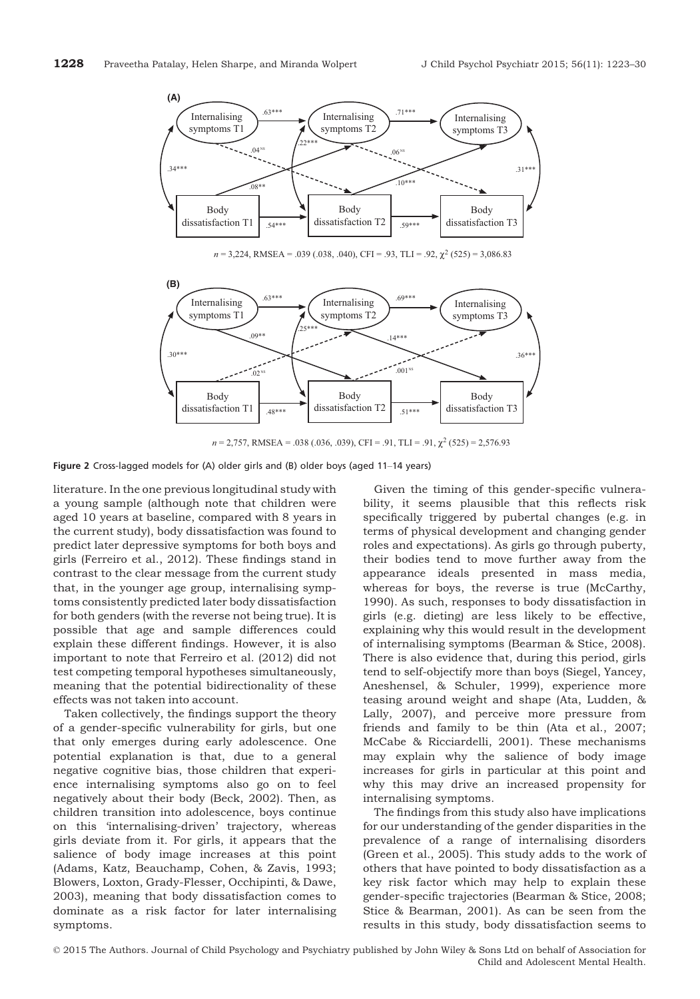

 $n = 3,224$ , RMSEA = .039 (.038, .040), CFI = .93, TLI = .92,  $\gamma^2$  (525) = 3,086.83



*n* = 2,757, RMSEA = .038 (.036, .039), CFI = .91, TLI = .91,  $\chi^2$  (525) = 2,576.93

Figure 2 Cross-lagged models for (A) older girls and (B) older boys (aged 11–14 years)

literature. In the one previous longitudinal study with a young sample (although note that children were aged 10 years at baseline, compared with 8 years in the current study), body dissatisfaction was found to predict later depressive symptoms for both boys and girls (Ferreiro et al., 2012). These findings stand in contrast to the clear message from the current study that, in the younger age group, internalising symptoms consistently predicted later body dissatisfaction for both genders (with the reverse not being true). It is possible that age and sample differences could explain these different findings. However, it is also important to note that Ferreiro et al. (2012) did not test competing temporal hypotheses simultaneously, meaning that the potential bidirectionality of these effects was not taken into account.

Taken collectively, the findings support the theory of a gender-specific vulnerability for girls, but one that only emerges during early adolescence. One potential explanation is that, due to a general negative cognitive bias, those children that experience internalising symptoms also go on to feel negatively about their body (Beck, 2002). Then, as children transition into adolescence, boys continue on this 'internalising-driven' trajectory, whereas girls deviate from it. For girls, it appears that the salience of body image increases at this point (Adams, Katz, Beauchamp, Cohen, & Zavis, 1993; Blowers, Loxton, Grady-Flesser, Occhipinti, & Dawe, 2003), meaning that body dissatisfaction comes to dominate as a risk factor for later internalising symptoms.

Given the timing of this gender-specific vulnerability, it seems plausible that this reflects risk specifically triggered by pubertal changes (e.g. in terms of physical development and changing gender roles and expectations). As girls go through puberty, their bodies tend to move further away from the appearance ideals presented in mass media, whereas for boys, the reverse is true (McCarthy, 1990). As such, responses to body dissatisfaction in girls (e.g. dieting) are less likely to be effective, explaining why this would result in the development of internalising symptoms (Bearman & Stice, 2008). There is also evidence that, during this period, girls tend to self-objectify more than boys (Siegel, Yancey, Aneshensel, & Schuler, 1999), experience more teasing around weight and shape (Ata, Ludden, & Lally, 2007), and perceive more pressure from friends and family to be thin (Ata et al., 2007; McCabe & Ricciardelli, 2001). These mechanisms may explain why the salience of body image increases for girls in particular at this point and why this may drive an increased propensity for internalising symptoms.

The findings from this study also have implications for our understanding of the gender disparities in the prevalence of a range of internalising disorders (Green et al., 2005). This study adds to the work of others that have pointed to body dissatisfaction as a key risk factor which may help to explain these gender-specific trajectories (Bearman & Stice, 2008; Stice & Bearman, 2001). As can be seen from the results in this study, body dissatisfaction seems to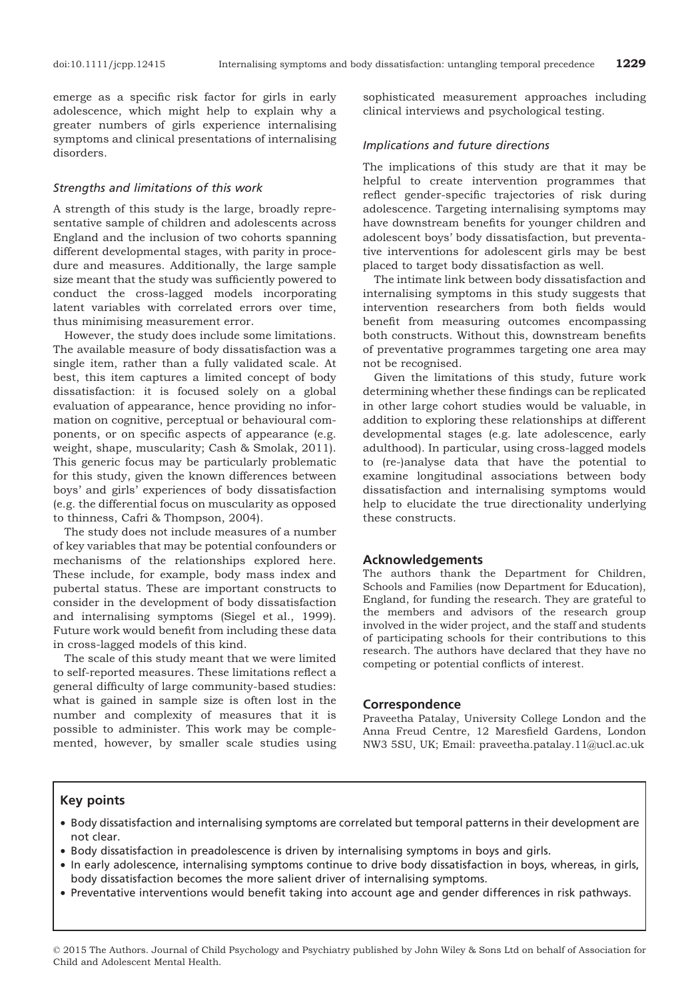emerge as a specific risk factor for girls in early adolescence, which might help to explain why a greater numbers of girls experience internalising symptoms and clinical presentations of internalising disorders.

# Strengths and limitations of this work

A strength of this study is the large, broadly representative sample of children and adolescents across England and the inclusion of two cohorts spanning different developmental stages, with parity in procedure and measures. Additionally, the large sample size meant that the study was sufficiently powered to conduct the cross-lagged models incorporating latent variables with correlated errors over time, thus minimising measurement error.

However, the study does include some limitations. The available measure of body dissatisfaction was a single item, rather than a fully validated scale. At best, this item captures a limited concept of body dissatisfaction: it is focused solely on a global evaluation of appearance, hence providing no information on cognitive, perceptual or behavioural components, or on specific aspects of appearance (e.g. weight, shape, muscularity; Cash & Smolak, 2011). This generic focus may be particularly problematic for this study, given the known differences between boys' and girls' experiences of body dissatisfaction (e.g. the differential focus on muscularity as opposed to thinness, Cafri & Thompson, 2004).

The study does not include measures of a number of key variables that may be potential confounders or mechanisms of the relationships explored here. These include, for example, body mass index and pubertal status. These are important constructs to consider in the development of body dissatisfaction and internalising symptoms (Siegel et al., 1999). Future work would benefit from including these data in cross-lagged models of this kind.

The scale of this study meant that we were limited to self-reported measures. These limitations reflect a general difficulty of large community-based studies: what is gained in sample size is often lost in the number and complexity of measures that it is possible to administer. This work may be complemented, however, by smaller scale studies using

sophisticated measurement approaches including clinical interviews and psychological testing.

#### Implications and future directions

The implications of this study are that it may be helpful to create intervention programmes that reflect gender-specific trajectories of risk during adolescence. Targeting internalising symptoms may have downstream benefits for younger children and adolescent boys' body dissatisfaction, but preventative interventions for adolescent girls may be best placed to target body dissatisfaction as well.

The intimate link between body dissatisfaction and internalising symptoms in this study suggests that intervention researchers from both fields would benefit from measuring outcomes encompassing both constructs. Without this, downstream benefits of preventative programmes targeting one area may not be recognised.

Given the limitations of this study, future work determining whether these findings can be replicated in other large cohort studies would be valuable, in addition to exploring these relationships at different developmental stages (e.g. late adolescence, early adulthood). In particular, using cross-lagged models to (re-)analyse data that have the potential to examine longitudinal associations between body dissatisfaction and internalising symptoms would help to elucidate the true directionality underlying these constructs.

## Acknowledgements

The authors thank the Department for Children, Schools and Families (now Department for Education), England, for funding the research. They are grateful to the members and advisors of the research group involved in the wider project, and the staff and students of participating schools for their contributions to this research. The authors have declared that they have no competing or potential conflicts of interest.

#### Correspondence

Praveetha Patalay, University College London and the Anna Freud Centre, 12 Maresfield Gardens, London NW3 5SU, UK; Email: praveetha.patalay.11@ucl.ac.uk

## Key points

- Body dissatisfaction and internalising symptoms are correlated but temporal patterns in their development are not clear.
- Body dissatisfaction in preadolescence is driven by internalising symptoms in boys and girls.
- In early adolescence, internalising symptoms continue to drive body dissatisfaction in boys, whereas, in girls, body dissatisfaction becomes the more salient driver of internalising symptoms.
- Preventative interventions would benefit taking into account age and gender differences in risk pathways.